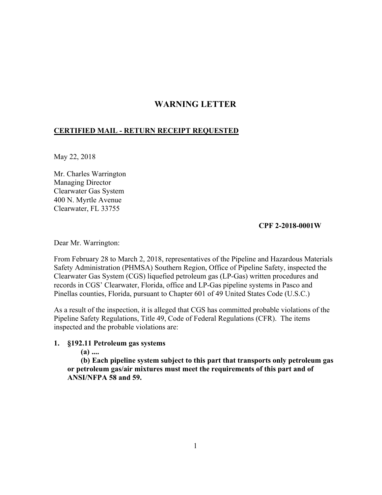# **WARNING LETTER**

# **CERTIFIED MAIL - RETURN RECEIPT REQUESTED**

May 22, 2018

Mr. Charles Warrington Managing Director Clearwater Gas System 400 N. Myrtle Avenue Clearwater, FL 33755

#### **CPF 2-2018-0001W**

Dear Mr. Warrington:

From February 28 to March 2, 2018, representatives of the Pipeline and Hazardous Materials Safety Administration (PHMSA) Southern Region, Office of Pipeline Safety, inspected the Clearwater Gas System (CGS) liquefied petroleum gas (LP-Gas) written procedures and records in CGS' Clearwater, Florida, office and LP-Gas pipeline systems in Pasco and Pinellas counties, Florida, pursuant to Chapter 601 of 49 United States Code (U.S.C.)

As a result of the inspection, it is alleged that CGS has committed probable violations of the Pipeline Safety Regulations, Title 49, Code of Federal Regulations (CFR). The items inspected and the probable violations are:

### **1. §192.11 Petroleum gas systems**

**(a) ....** 

**(b) Each pipeline system subject to this part that transports only petroleum gas or petroleum gas/air mixtures must meet the requirements of this part and of ANSI/NFPA 58 and 59.**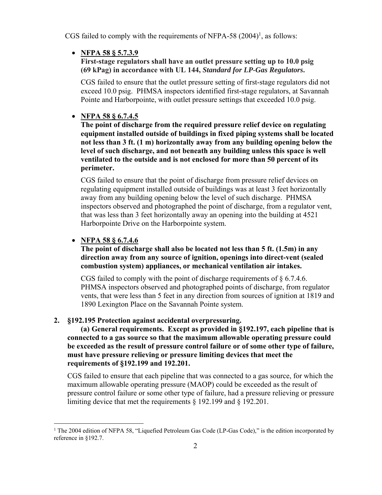CGS failed to comply with the requirements of NFPA-58  $(2004)^1$ , as follows:

# **NFPA 58 § 5.7.3.9**

### **(69 kPag) in accordance with UL 144,** *Standard for LP-Gas Regulators***. First-stage regulators shall have an outlet pressure setting up to 10.0 psig**

CGS failed to ensure that the outlet pressure setting of first-stage regulators did not exceed 10.0 psig. PHMSA inspectors identified first-stage regulators, at Savannah Pointe and Harborpointe, with outlet pressure settings that exceeded 10.0 psig.

# **NFPA 58 § 6.7.4.5**

**The point of discharge from the required pressure relief device on regulating equipment installed outside of buildings in fixed piping systems shall be located not less than 3 ft. (1 m) horizontally away from any building opening below the level of such discharge, and not beneath any building unless this space is well ventilated to the outside and is not enclosed for more than 50 percent of its perimeter.**

CGS failed to ensure that the point of discharge from pressure relief devices on regulating equipment installed outside of buildings was at least 3 feet horizontally away from any building opening below the level of such discharge. PHMSA inspectors observed and photographed the point of discharge, from a regulator vent, that was less than 3 feet horizontally away an opening into the building at 4521 Harborpointe Drive on the Harborpointe system.

# **NFPA 58 § 6.7.4.6**

 $\overline{a}$ 

## **The point of discharge shall also be located not less than 5 ft. (1.5m) in any direction away from any source of ignition, openings into direct-vent (sealed combustion system) appliances, or mechanical ventilation air intakes.**

CGS failed to comply with the point of discharge requirements of § 6.7.4.6. PHMSA inspectors observed and photographed points of discharge, from regulator vents, that were less than 5 feet in any direction from sources of ignition at 1819 and 1890 Lexington Place on the Savannah Pointe system.

### **2. §192.195 Protection against accidental overpressuring.**

**(a) General requirements. Except as provided in §192.197, each pipeline that is connected to a gas source so that the maximum allowable operating pressure could be exceeded as the result of pressure control failure or of some other type of failure, must have pressure relieving or pressure limiting devices that meet the requirements of §192.199 and 192.201.** 

CGS failed to ensure that each pipeline that was connected to a gas source, for which the maximum allowable operating pressure (MAOP) could be exceeded as the result of pressure control failure or some other type of failure, had a pressure relieving or pressure limiting device that met the requirements § 192.199 and § 192.201.

<sup>&</sup>lt;sup>1</sup> The 2004 edition of NFPA 58, "Liquefied Petroleum Gas Code (LP-Gas Code)," is the edition incorporated by reference in §192.7.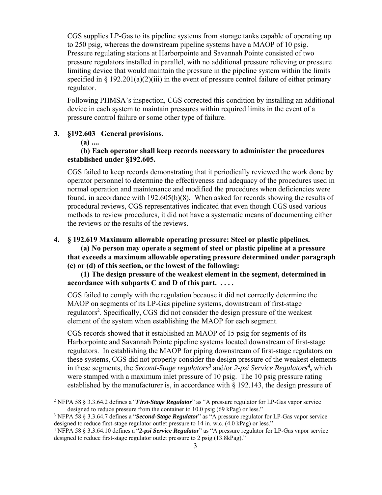CGS supplies LP-Gas to its pipeline systems from storage tanks capable of operating up to 250 psig, whereas the downstream pipeline systems have a MAOP of 10 psig. Pressure regulating stations at Harborpointe and Savannah Pointe consisted of two pressure regulators installed in parallel, with no additional pressure relieving or pressure limiting device that would maintain the pressure in the pipeline system within the limits specified in  $\S 192.201(a)(2)(iii)$  in the event of pressure control failure of either primary regulator.

Following PHMSA's inspection, CGS corrected this condition by installing an additional device in each system to maintain pressures within required limits in the event of a pressure control failure or some other type of failure.

#### **3. §192.603 General provisions.**

**(a) ....** 

 $\overline{a}$ 

#### **(b) Each operator shall keep records necessary to administer the procedures established under §192.605.**

CGS failed to keep records demonstrating that it periodically reviewed the work done by operator personnel to determine the effectiveness and adequacy of the procedures used in normal operation and maintenance and modified the procedures when deficiencies were found, in accordance with 192.605(b)(8). When asked for records showing the results of procedural reviews, CGS representatives indicated that even though CGS used various methods to review procedures, it did not have a systematic means of documenting either the reviews or the results of the reviews.

#### **4. § 192.619 Maximum allowable operating pressure: Steel or plastic pipelines.**

**(a) No person may operate a segment of steel or plastic pipeline at a pressure that exceeds a maximum allowable operating pressure determined under paragraph (c) or (d) of this section, or the lowest of the following:**

**(1) The design pressure of the weakest element in the segment, determined in accordance with subparts C and D of this part. . . . .** 

CGS failed to comply with the regulation because it did not correctly determine the MAOP on segments of its LP-Gas pipeline systems, downstream of first-stage regulators<sup>2</sup>. Specifically, CGS did not consider the design pressure of the weakest element of the system when establishing the MAOP for each segment.

 in these segments, the *Second-Stage regulators3* and/or *2-psi Service Regulators***<sup>4</sup> ,** which CGS records showed that it established an MAOP of 15 psig for segments of its Harborpointe and Savannah Pointe pipeline systems located downstream of first-stage regulators. In establishing the MAOP for piping downstream of first-stage regulators on these systems, CGS did not properly consider the design pressure of the weakest elements were stamped with a maximum inlet pressure of 10 psig. The 10 psig pressure rating established by the manufacturer is, in accordance with  $\S$  192.143, the design pressure of

<sup>2</sup> NFPA 58 § 3.3.64.2 defines a "*First-Stage Regulator*" as "A pressure regulator for LP-Gas vapor service designed to reduce pressure from the container to 10.0 psig (69 kPag) or less."

 designed to reduce first-stage regulator outlet pressure to 14 in. w.c. (4.0 kPag) or less." <sup>3</sup> NFPA 58 § 3.3.64.7 defines a "*Second-Stage Regulator*" as "A pressure regulator for LP-Gas vapor service

 designed to reduce first-stage regulator outlet pressure to 2 psig (13.8kPag)." <sup>4</sup> NFPA 58 § 3.3.64.10 defines a "*2-psi Service Regulator*" as "A pressure regulator for LP-Gas vapor service